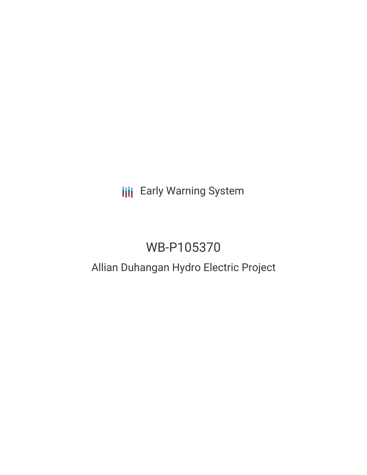# **III** Early Warning System

## WB-P105370

## Allian Duhangan Hydro Electric Project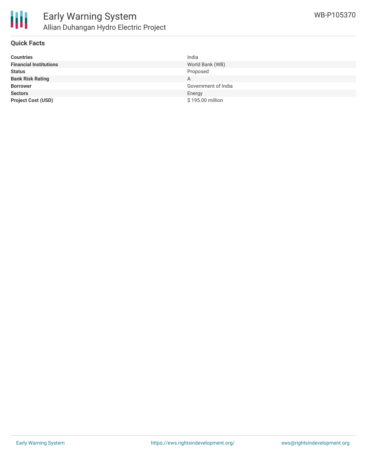

## **Quick Facts**

| <b>Countries</b>              | India               |
|-------------------------------|---------------------|
| <b>Financial Institutions</b> | World Bank (WB)     |
| <b>Status</b>                 | Proposed            |
| <b>Bank Risk Rating</b>       | A                   |
| <b>Borrower</b>               | Government of India |
| <b>Sectors</b>                | Energy              |
| <b>Project Cost (USD)</b>     | \$195.00 million    |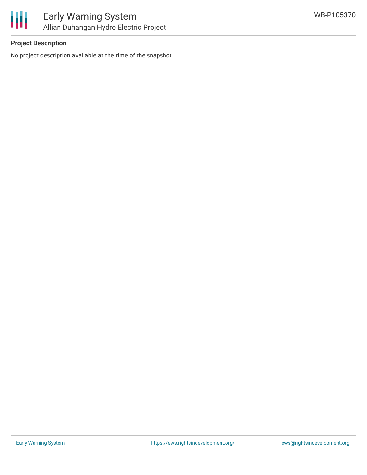

## **Project Description**

No project description available at the time of the snapshot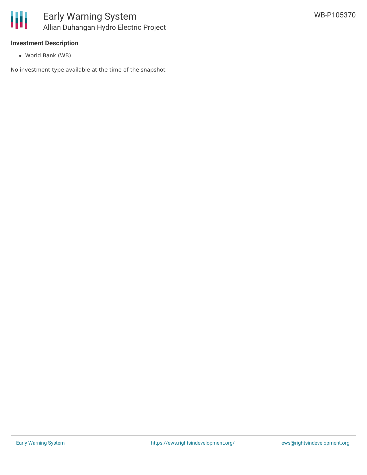

### **Investment Description**

World Bank (WB)

No investment type available at the time of the snapshot